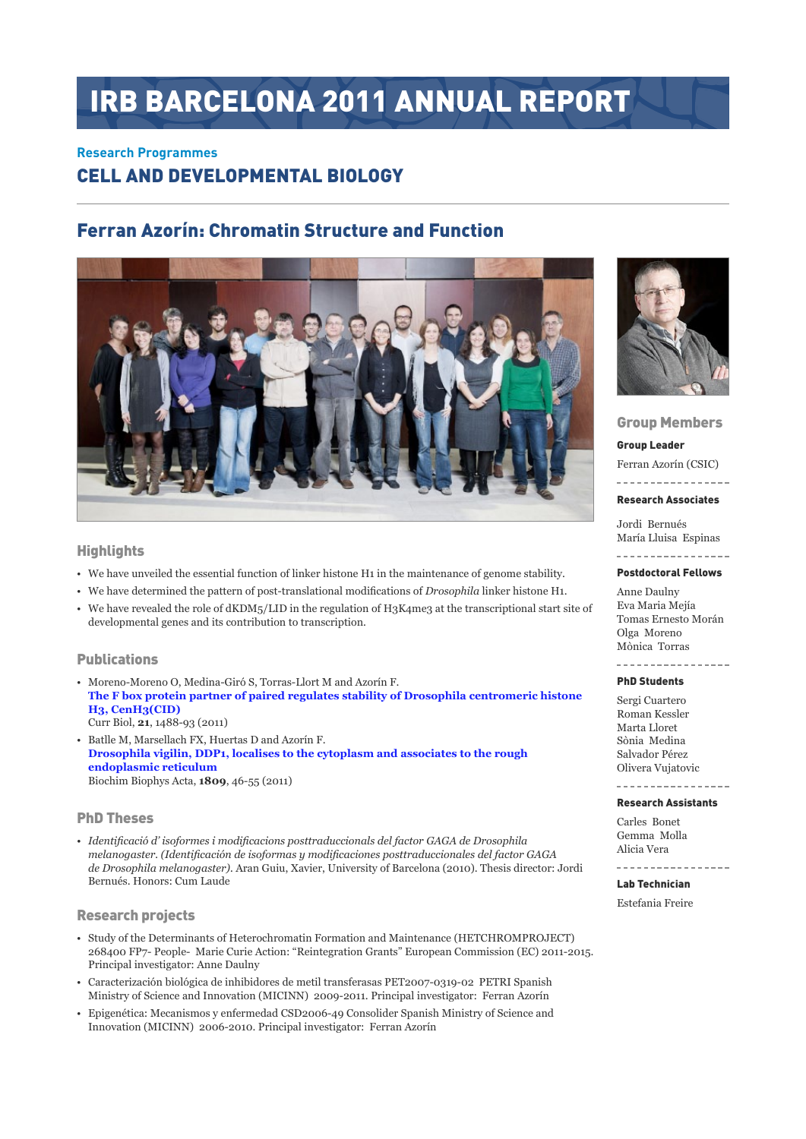# IRB BARCELONA 2011 ANNUAL REPORT

#### **Research Programmes**

# Cell and Developmental Biology

# Ferran Azorín: Chromatin Structure and Function



#### **Highlights**

- • We have unveiled the essential function of linker histone H1 in the maintenance of genome stability.
- • We have determined the pattern of post-translational modifications of *Drosophila* linker histone H1.
- We have revealed the role of dKDM5/LID in the regulation of H3K4me3 at the transcriptional start site of developmental genes and its contribution to transcription.

#### Publications

- • Moreno-Moreno O, Medina-Giró S, Torras-Llort M and Azorín F. **[The F box protein partner of paired regulates stability of Drosophila centromeric histone](http://www.ncbi.nlm.nih.gov/pubmed?term=21871803)  [H3, CenH3\(CID\)](http://www.ncbi.nlm.nih.gov/pubmed?term=21871803)** Curr Biol, **21**, 1488-93 (2011)
- • Batlle M, Marsellach FX, Huertas D and Azorín F. **[Drosophila vigilin, DDP1, localises to the cytoplasm and associates to the rough](http://www.ncbi.nlm.nih.gov/pubmed?term=21035573)  [endoplasmic reticulum](http://www.ncbi.nlm.nih.gov/pubmed?term=21035573)** Biochim Biophys Acta, **1809**, 46-55 (2011)

#### PhD Theses

*• Identificació d' isoformes i modificacions posttraduccionals del factor Gaga de Drosophila melanogaster. (Identificación de isoformas y modificaciones posttraduccionales del factor Gaga de Drosophila melanogaster).* Aran Guiu, Xavier, University of Barcelona (2010). Thesis director: Jordi Bernués. Honors: Cum Laude

#### Research projects

- • Study of the Determinants of Heterochromatin Formation and Maintenance (HETCHROMPROJECT) 268400 FP7- People- Marie Curie Action: "Reintegration Grants" European Commission (EC) 2011-2015. Principal investigator: Anne Daulny
- • Caracterización biológica de inhibidores de metil transferasas PET2007-0319-02 PETRI Spanish Ministry of Science and Innovation (MICINN) 2009-2011. Principal investigator: Ferran Azorín
- • Epigenética: Mecanismos y enfermedad CSD2006-49 Consolider Spanish Ministry of Science and Innovation (MICINN) 2006-2010. Principal investigator: Ferran Azorín



#### Group Members

Group Leader

Ferran Azorín (CSIC) ----------------

Research Associates

Jordi Bernués María Lluisa Espinas

--------------

#### Postdoctoral Fellows

Anne Daulny Eva Maria Mejía Tomas Ernesto Morán Olga Moreno Mònica Torras

\_\_\_\_\_\_\_\_\_\_\_\_\_\_\_\_\_

#### PhD Students

Sergi Cuartero Roman Kessler Marta Lloret Sònia Medina Salvador Pérez Olivera Vujatovic

## Research Assistants

Carles Bonet Gemma Molla Alicia Vera

----------

#### Lab Technician

Estefania Freire